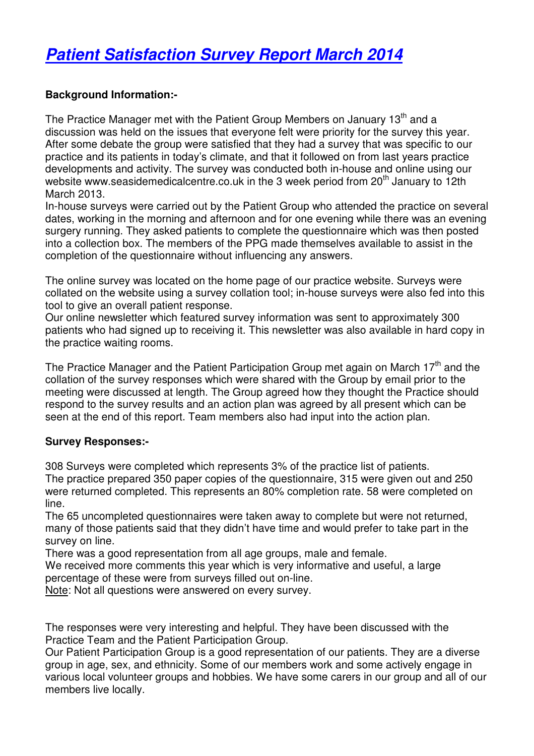## **Background Information:-**

The Practice Manager met with the Patient Group Members on January 13<sup>th</sup> and a discussion was held on the issues that everyone felt were priority for the survey this year. After some debate the group were satisfied that they had a survey that was specific to our practice and its patients in today's climate, and that it followed on from last years practice developments and activity. The survey was conducted both in-house and online using our website www.seasidemedicalcentre.co.uk in the 3 week period from  $20<sup>th</sup>$  January to 12th March 2013.

In-house surveys were carried out by the Patient Group who attended the practice on several dates, working in the morning and afternoon and for one evening while there was an evening surgery running. They asked patients to complete the questionnaire which was then posted into a collection box. The members of the PPG made themselves available to assist in the completion of the questionnaire without influencing any answers.

The online survey was located on the home page of our practice website. Surveys were collated on the website using a survey collation tool; in-house surveys were also fed into this tool to give an overall patient response.

Our online newsletter which featured survey information was sent to approximately 300 patients who had signed up to receiving it. This newsletter was also available in hard copy in the practice waiting rooms.

The Practice Manager and the Patient Participation Group met again on March 17<sup>th</sup> and the collation of the survey responses which were shared with the Group by email prior to the meeting were discussed at length. The Group agreed how they thought the Practice should respond to the survey results and an action plan was agreed by all present which can be seen at the end of this report. Team members also had input into the action plan.

## **Survey Responses:-**

308 Surveys were completed which represents 3% of the practice list of patients. The practice prepared 350 paper copies of the questionnaire, 315 were given out and 250 were returned completed. This represents an 80% completion rate. 58 were completed on line.

The 65 uncompleted questionnaires were taken away to complete but were not returned, many of those patients said that they didn't have time and would prefer to take part in the survey on line.

There was a good representation from all age groups, male and female.

We received more comments this year which is very informative and useful, a large percentage of these were from surveys filled out on-line.

Note: Not all questions were answered on every survey.

The responses were very interesting and helpful. They have been discussed with the Practice Team and the Patient Participation Group.

Our Patient Participation Group is a good representation of our patients. They are a diverse group in age, sex, and ethnicity. Some of our members work and some actively engage in various local volunteer groups and hobbies. We have some carers in our group and all of our members live locally.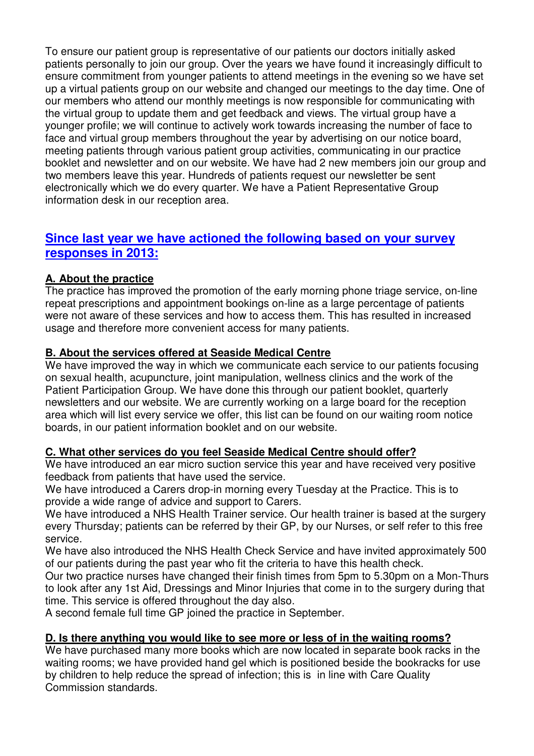To ensure our patient group is representative of our patients our doctors initially asked patients personally to join our group. Over the years we have found it increasingly difficult to ensure commitment from younger patients to attend meetings in the evening so we have set up a virtual patients group on our website and changed our meetings to the day time. One of our members who attend our monthly meetings is now responsible for communicating with the virtual group to update them and get feedback and views. The virtual group have a younger profile; we will continue to actively work towards increasing the number of face to face and virtual group members throughout the year by advertising on our notice board, meeting patients through various patient group activities, communicating in our practice booklet and newsletter and on our website. We have had 2 new members join our group and two members leave this year. Hundreds of patients request our newsletter be sent electronically which we do every quarter. We have a Patient Representative Group information desk in our reception area.

# **Since last year we have actioned the following based on your survey responses in 2013:**

## **A. About the practice**

The practice has improved the promotion of the early morning phone triage service, on-line repeat prescriptions and appointment bookings on-line as a large percentage of patients were not aware of these services and how to access them. This has resulted in increased usage and therefore more convenient access for many patients.

#### **B. About the services offered at Seaside Medical Centre**

We have improved the way in which we communicate each service to our patients focusing on sexual health, acupuncture, joint manipulation, wellness clinics and the work of the Patient Participation Group. We have done this through our patient booklet, quarterly newsletters and our website. We are currently working on a large board for the reception area which will list every service we offer, this list can be found on our waiting room notice boards, in our patient information booklet and on our website.

## **C. What other services do you feel Seaside Medical Centre should offer?**

We have introduced an ear micro suction service this year and have received very positive feedback from patients that have used the service.

We have introduced a Carers drop-in morning every Tuesday at the Practice. This is to provide a wide range of advice and support to Carers.

We have introduced a NHS Health Trainer service. Our health trainer is based at the surgery every Thursday; patients can be referred by their GP, by our Nurses, or self refer to this free service.

We have also introduced the NHS Health Check Service and have invited approximately 500 of our patients during the past year who fit the criteria to have this health check.

Our two practice nurses have changed their finish times from 5pm to 5.30pm on a Mon-Thurs to look after any 1st Aid, Dressings and Minor Injuries that come in to the surgery during that time. This service is offered throughout the day also.

A second female full time GP joined the practice in September.

## **D. Is there anything you would like to see more or less of in the waiting rooms?**

We have purchased many more books which are now located in separate book racks in the waiting rooms; we have provided hand gel which is positioned beside the bookracks for use by children to help reduce the spread of infection; this is in line with Care Quality Commission standards.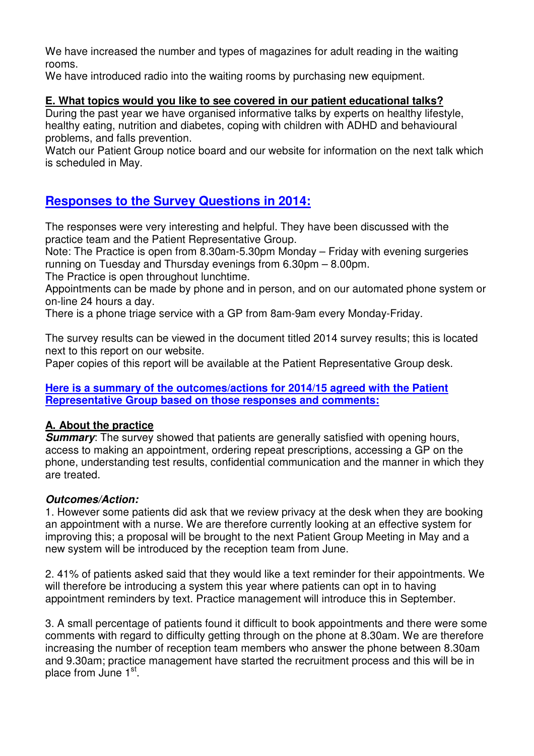We have increased the number and types of magazines for adult reading in the waiting rooms.

We have introduced radio into the waiting rooms by purchasing new equipment.

## **E. What topics would you like to see covered in our patient educational talks?**

During the past year we have organised informative talks by experts on healthy lifestyle, healthy eating, nutrition and diabetes, coping with children with ADHD and behavioural problems, and falls prevention.

Watch our Patient Group notice board and our website for information on the next talk which is scheduled in May.

# **Responses to the Survey Questions in 2014:**

The responses were very interesting and helpful. They have been discussed with the practice team and the Patient Representative Group.

Note: The Practice is open from 8.30am-5.30pm Monday – Friday with evening surgeries running on Tuesday and Thursday evenings from 6.30pm – 8.00pm.

The Practice is open throughout lunchtime.

Appointments can be made by phone and in person, and on our automated phone system or on-line 24 hours a day.

There is a phone triage service with a GP from 8am-9am every Monday-Friday.

The survey results can be viewed in the document titled 2014 survey results; this is located next to this report on our website.

Paper copies of this report will be available at the Patient Representative Group desk.

#### **Here is a summary of the outcomes/actions for 2014/15 agreed with the Patient Representative Group based on those responses and comments:**

# **A. About the practice**

**Summary:** The survey showed that patients are generally satisfied with opening hours, access to making an appointment, ordering repeat prescriptions, accessing a GP on the phone, understanding test results, confidential communication and the manner in which they are treated.

# **Outcomes/Action:**

1. However some patients did ask that we review privacy at the desk when they are booking an appointment with a nurse. We are therefore currently looking at an effective system for improving this; a proposal will be brought to the next Patient Group Meeting in May and a new system will be introduced by the reception team from June.

2. 41% of patients asked said that they would like a text reminder for their appointments. We will therefore be introducing a system this year where patients can opt in to having appointment reminders by text. Practice management will introduce this in September.

3. A small percentage of patients found it difficult to book appointments and there were some comments with regard to difficulty getting through on the phone at 8.30am. We are therefore increasing the number of reception team members who answer the phone between 8.30am and 9.30am; practice management have started the recruitment process and this will be in place from June 1st.